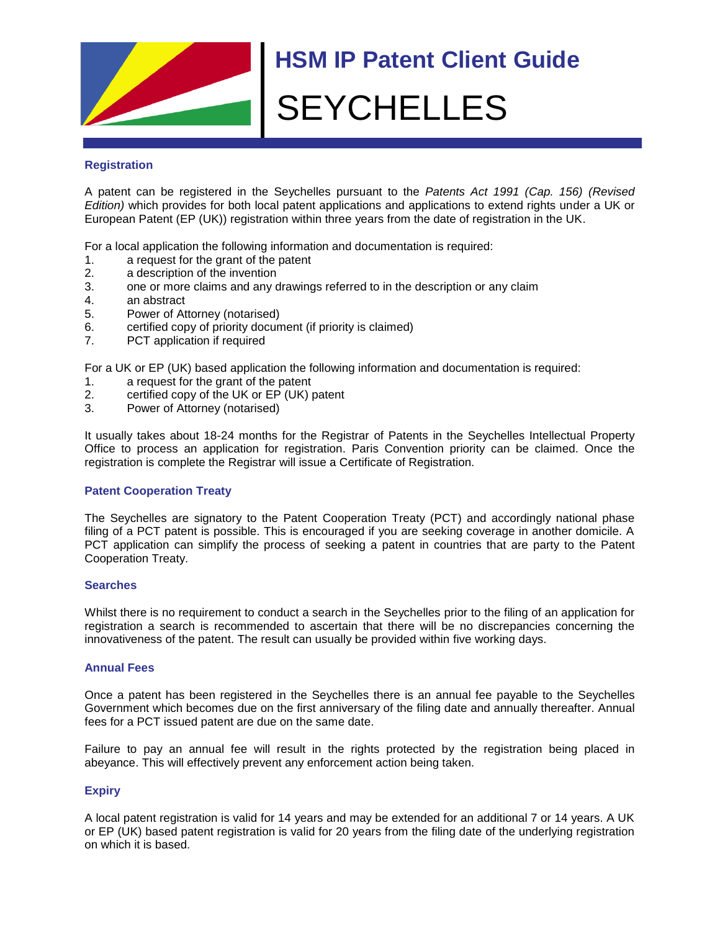

# **Registration**

A patent can be registered in the Seychelles pursuant to the *Patents Act 1991 (Cap. 156) (Revised Edition)* which provides for both local patent applications and applications to extend rights under a UK or European Patent (EP (UK)) registration within three years from the date of registration in the UK.

For a local application the following information and documentation is required:

- 1. a request for the grant of the patent
- 2. a description of the invention
- 3. one or more claims and any drawings referred to in the description or any claim
- 4. an abstract
- 5. Power of Attorney (notarised)
- 6. certified copy of priority document (if priority is claimed)
- 7. PCT application if required

For a UK or EP (UK) based application the following information and documentation is required:

- 1. a request for the grant of the patent
- 2. certified copy of the UK or EP (UK) patent
- 3. Power of Attorney (notarised)

It usually takes about 18-24 months for the Registrar of Patents in the Seychelles Intellectual Property Office to process an application for registration. Paris Convention priority can be claimed. Once the registration is complete the Registrar will issue a Certificate of Registration.

## **Patent Cooperation Treaty**

The Seychelles are signatory to the Patent Cooperation Treaty (PCT) and accordingly national phase filing of a PCT patent is possible. This is encouraged if you are seeking coverage in another domicile. A PCT application can simplify the process of seeking a patent in countries that are party to the Patent Cooperation Treaty.

## **Searches**

Whilst there is no requirement to conduct a search in the Seychelles prior to the filing of an application for registration a search is recommended to ascertain that there will be no discrepancies concerning the innovativeness of the patent. The result can usually be provided within five working days.

## **Annual Fees**

Once a patent has been registered in the Seychelles there is an annual fee payable to the Seychelles Government which becomes due on the first anniversary of the filing date and annually thereafter. Annual fees for a PCT issued patent are due on the same date.

Failure to pay an annual fee will result in the rights protected by the registration being placed in abeyance. This will effectively prevent any enforcement action being taken.

## **Expiry**

A local patent registration is valid for 14 years and may be extended for an additional 7 or 14 years. A UK or EP (UK) based patent registration is valid for 20 years from the filing date of the underlying registration on which it is based.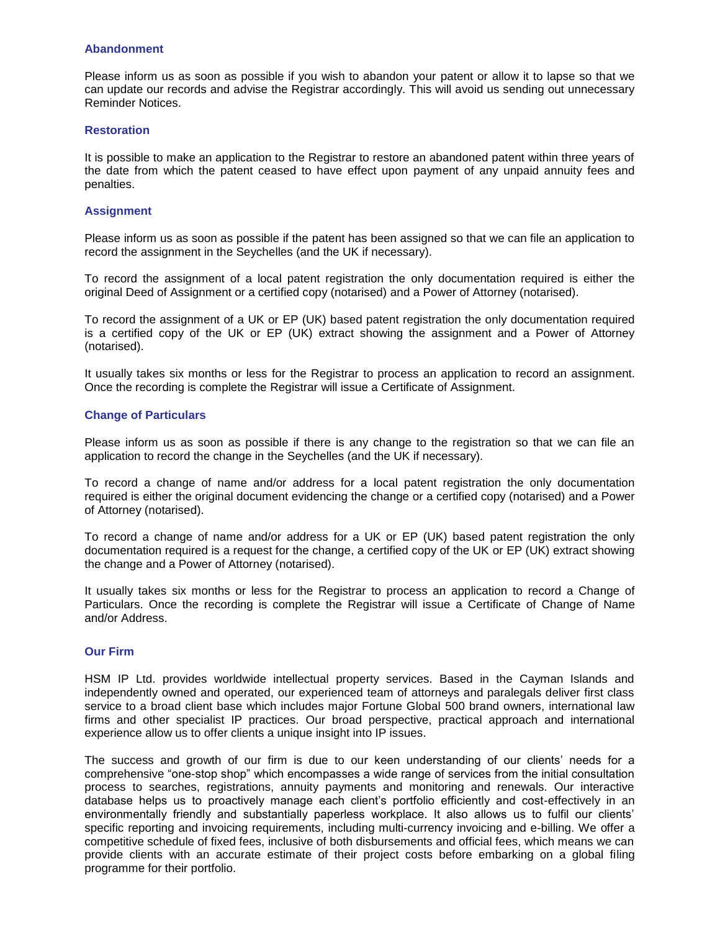#### **Abandonment**

Please inform us as soon as possible if you wish to abandon your patent or allow it to lapse so that we can update our records and advise the Registrar accordingly. This will avoid us sending out unnecessary Reminder Notices.

### **Restoration**

It is possible to make an application to the Registrar to restore an abandoned patent within three years of the date from which the patent ceased to have effect upon payment of any unpaid annuity fees and penalties.

### **Assignment**

Please inform us as soon as possible if the patent has been assigned so that we can file an application to record the assignment in the Seychelles (and the UK if necessary).

To record the assignment of a local patent registration the only documentation required is either the original Deed of Assignment or a certified copy (notarised) and a Power of Attorney (notarised).

To record the assignment of a UK or EP (UK) based patent registration the only documentation required is a certified copy of the UK or EP (UK) extract showing the assignment and a Power of Attorney (notarised).

It usually takes six months or less for the Registrar to process an application to record an assignment. Once the recording is complete the Registrar will issue a Certificate of Assignment.

### **Change of Particulars**

Please inform us as soon as possible if there is any change to the registration so that we can file an application to record the change in the Seychelles (and the UK if necessary).

To record a change of name and/or address for a local patent registration the only documentation required is either the original document evidencing the change or a certified copy (notarised) and a Power of Attorney (notarised).

To record a change of name and/or address for a UK or EP (UK) based patent registration the only documentation required is a request for the change, a certified copy of the UK or EP (UK) extract showing the change and a Power of Attorney (notarised).

It usually takes six months or less for the Registrar to process an application to record a Change of Particulars. Once the recording is complete the Registrar will issue a Certificate of Change of Name and/or Address.

## **Our Firm**

HSM IP Ltd. provides worldwide intellectual property services. Based in the Cayman Islands and independently owned and operated, our experienced team of attorneys and paralegals deliver first class service to a broad client base which includes major Fortune Global 500 brand owners, international law firms and other specialist IP practices. Our broad perspective, practical approach and international experience allow us to offer clients a unique insight into IP issues.

The success and growth of our firm is due to our keen understanding of our clients' needs for a comprehensive "one-stop shop" which encompasses a wide range of services from the initial consultation process to searches, registrations, annuity payments and monitoring and renewals. Our interactive database helps us to proactively manage each client's portfolio efficiently and cost-effectively in an environmentally friendly and substantially paperless workplace. It also allows us to fulfil our clients' specific reporting and invoicing requirements, including multi-currency invoicing and e-billing. We offer a competitive schedule of fixed fees, inclusive of both disbursements and official fees, which means we can provide clients with an accurate estimate of their project costs before embarking on a global filing programme for their portfolio.